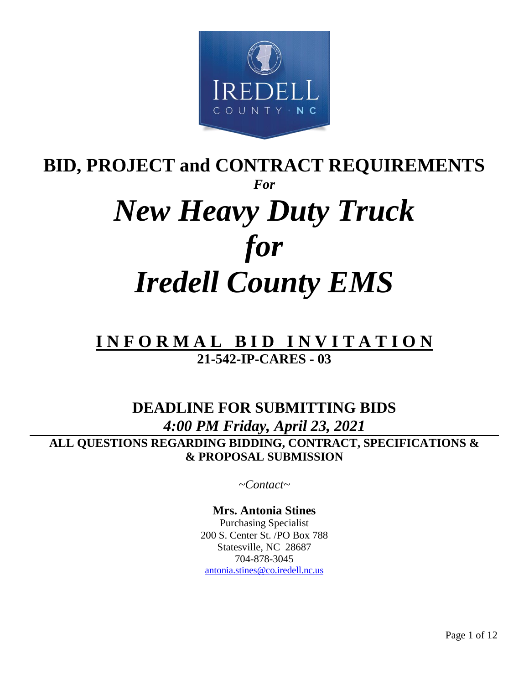

# **BID, PROJECT and CONTRACT REQUIREMENTS** *For New Heavy Duty Truck for Iredell County EMS*

# **I N F O R M A L B I D I N V I T A T I O N 21-542-IP-CARES - 03**

# **DEADLINE FOR SUBMITTING BIDS** *4:00 PM Friday, April 23, 2021* **ALL QUESTIONS REGARDING BIDDING, CONTRACT, SPECIFICATIONS & & PROPOSAL SUBMISSION**

*~Contact~*

**Mrs. Antonia Stines** Purchasing Specialist 200 S. Center St. /PO Box 788 Statesville, NC 28687 704-878-3045 [antonia.stines@co.iredell.nc.us](mailto:antonia.stines@co.iredell.nc.us)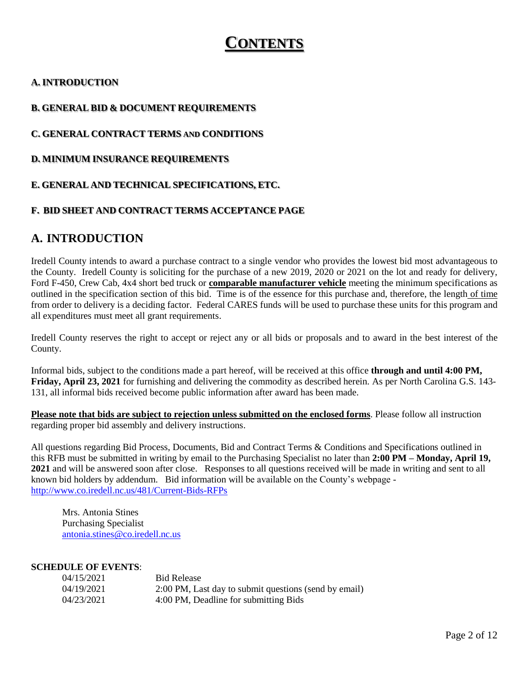# **CONTENTS**

#### **A. INTRODUCTION**

#### **B. GENERAL BID & DOCUMENT REQUIREMENTS**

#### **C. GENERAL CONTRACT TERMS AND CONDITIONS**

**D. MINIMUM INSURANCE REQUIREMENTS**

#### **E. GENERAL AND TECHNICAL SPECIFICATIONS, ETC.**

#### **F. BID SHEET AND CONTRACT TERMS ACCEPTANCE PAGE**

### **A. INTRODUCTION**

Iredell County intends to award a purchase contract to a single vendor who provides the lowest bid most advantageous to the County. Iredell County is soliciting for the purchase of a new 2019, 2020 or 2021 on the lot and ready for delivery, Ford F-450, Crew Cab, 4x4 short bed truck or **comparable manufacturer vehicle** meeting the minimum specifications as outlined in the specification section of this bid. Time is of the essence for this purchase and, therefore, the length of time from order to delivery is a deciding factor. Federal CARES funds will be used to purchase these units for this program and all expenditures must meet all grant requirements.

Iredell County reserves the right to accept or reject any or all bids or proposals and to award in the best interest of the County.

Informal bids, subject to the conditions made a part hereof, will be received at this office **through and until 4:00 PM, Friday, April 23, 2021** for furnishing and delivering the commodity as described herein. As per North Carolina G.S. 143- 131, all informal bids received become public information after award has been made.

**Please note that bids are subject to rejection unless submitted on the enclosed forms**. Please follow all instruction regarding proper bid assembly and delivery instructions.

All questions regarding Bid Process, Documents, Bid and Contract Terms & Conditions and Specifications outlined in this RFB must be submitted in writing by email to the Purchasing Specialist no later than **2:00 PM – Monday, April 19, 2021** and will be answered soon after close. Responses to all questions received will be made in writing and sent to all known bid holders by addendum. Bid information will be available on the County's webpage <http://www.co.iredell.nc.us/481/Current-Bids-RFPs>

Mrs. Antonia Stines Purchasing Specialist [antonia.stines@co.iredell.nc.us](mailto:antonia.stines@co.iredell.nc.us)

#### **SCHEDULE OF EVENTS**:

| 04/15/2021 | <b>Bid Release</b>                                    |
|------------|-------------------------------------------------------|
| 04/19/2021 | 2:00 PM, Last day to submit questions (send by email) |
| 04/23/2021 | 4:00 PM, Deadline for submitting Bids                 |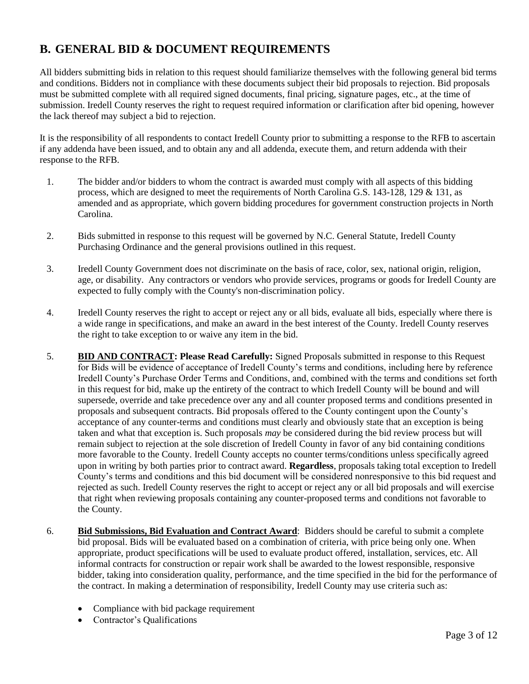## **B. GENERAL BID & DOCUMENT REQUIREMENTS**

All bidders submitting bids in relation to this request should familiarize themselves with the following general bid terms and conditions. Bidders not in compliance with these documents subject their bid proposals to rejection. Bid proposals must be submitted complete with all required signed documents, final pricing, signature pages, etc., at the time of submission. Iredell County reserves the right to request required information or clarification after bid opening, however the lack thereof may subject a bid to rejection.

It is the responsibility of all respondents to contact Iredell County prior to submitting a response to the RFB to ascertain if any addenda have been issued, and to obtain any and all addenda, execute them, and return addenda with their response to the RFB.

- 1. The bidder and/or bidders to whom the contract is awarded must comply with all aspects of this bidding process, which are designed to meet the requirements of North Carolina G.S. 143-128, 129 & 131, as amended and as appropriate, which govern bidding procedures for government construction projects in North Carolina.
- 2. Bids submitted in response to this request will be governed by N.C. General Statute, Iredell County Purchasing Ordinance and the general provisions outlined in this request.
- 3. Iredell County Government does not discriminate on the basis of race, color, sex, national origin, religion, age, or disability. Any contractors or vendors who provide services, programs or goods for Iredell County are expected to fully comply with the County's non-discrimination policy.
- 4. Iredell County reserves the right to accept or reject any or all bids, evaluate all bids, especially where there is a wide range in specifications, and make an award in the best interest of the County. Iredell County reserves the right to take exception to or waive any item in the bid.
- 5. **BID AND CONTRACT: Please Read Carefully:** Signed Proposals submitted in response to this Request for Bids will be evidence of acceptance of Iredell County's terms and conditions, including here by reference Iredell County's Purchase Order Terms and Conditions, and, combined with the terms and conditions set forth in this request for bid, make up the entirety of the contract to which Iredell County will be bound and will supersede, override and take precedence over any and all counter proposed terms and conditions presented in proposals and subsequent contracts. Bid proposals offered to the County contingent upon the County's acceptance of any counter-terms and conditions must clearly and obviously state that an exception is being taken and what that exception is. Such proposals *may* be considered during the bid review process but will remain subject to rejection at the sole discretion of Iredell County in favor of any bid containing conditions more favorable to the County. Iredell County accepts no counter terms/conditions unless specifically agreed upon in writing by both parties prior to contract award. **Regardless**, proposals taking total exception to Iredell County's terms and conditions and this bid document will be considered nonresponsive to this bid request and rejected as such. Iredell County reserves the right to accept or reject any or all bid proposals and will exercise that right when reviewing proposals containing any counter-proposed terms and conditions not favorable to the County.
- 6. **Bid Submissions, Bid Evaluation and Contract Award**: Bidders should be careful to submit a complete bid proposal. Bids will be evaluated based on a combination of criteria, with price being only one. When appropriate, product specifications will be used to evaluate product offered, installation, services, etc. All informal contracts for construction or repair work shall be awarded to the lowest responsible, responsive bidder, taking into consideration quality, performance, and the time specified in the bid for the performance of the contract. In making a determination of responsibility, Iredell County may use criteria such as:
	- Compliance with bid package requirement
	- Contractor's Qualifications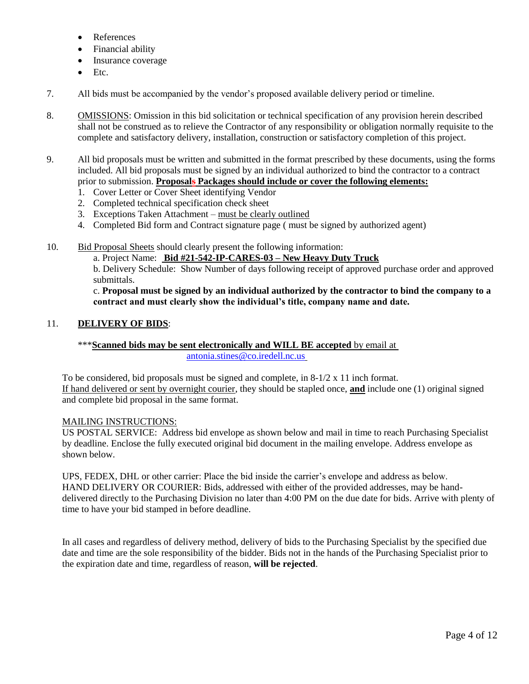- References
- Financial ability
- Insurance coverage
- Etc.
- 7. All bids must be accompanied by the vendor's proposed available delivery period or timeline.
- 8. OMISSIONS: Omission in this bid solicitation or technical specification of any provision herein described shall not be construed as to relieve the Contractor of any responsibility or obligation normally requisite to the complete and satisfactory delivery, installation, construction or satisfactory completion of this project.
- 9. All bid proposals must be written and submitted in the format prescribed by these documents, using the forms included. All bid proposals must be signed by an individual authorized to bind the contractor to a contract prior to submission. **Proposals Packages should include or cover the following elements:**
	- 1. Cover Letter or Cover Sheet identifying Vendor
	- 2. Completed technical specification check sheet
	- 3. Exceptions Taken Attachment must be clearly outlined
	- 4. Completed Bid form and Contract signature page ( must be signed by authorized agent)
- 10. Bid Proposal Sheets should clearly present the following information:

a. Project Name: **Bid #21-542-IP-CARES-03 – New Heavy Duty Truck**

b. Delivery Schedule: Show Number of days following receipt of approved purchase order and approved submittals.

c. **Proposal must be signed by an individual authorized by the contractor to bind the company to a contract and must clearly show the individual's title, company name and date.**

#### 11. **DELIVERY OF BIDS**:

#### \*\*\***Scanned bids may be sent electronically and WILL BE accepted** by email at [antonia.stines@co.iredell.nc.us](mailto:antonia.stines@co.iredell.nc.us)

To be considered, bid proposals must be signed and complete, in  $8-1/2 \times 11$  inch format. If hand delivered or sent by overnight courier, they should be stapled once, **and** include one (1) original signed and complete bid proposal in the same format.

#### MAILING INSTRUCTIONS:

US POSTAL SERVICE: Address bid envelope as shown below and mail in time to reach Purchasing Specialist by deadline. Enclose the fully executed original bid document in the mailing envelope. Address envelope as shown below.

UPS, FEDEX, DHL or other carrier: Place the bid inside the carrier's envelope and address as below. HAND DELIVERY OR COURIER: Bids, addressed with either of the provided addresses, may be handdelivered directly to the Purchasing Division no later than 4:00 PM on the due date for bids. Arrive with plenty of time to have your bid stamped in before deadline.

In all cases and regardless of delivery method, delivery of bids to the Purchasing Specialist by the specified due date and time are the sole responsibility of the bidder. Bids not in the hands of the Purchasing Specialist prior to the expiration date and time, regardless of reason, **will be rejected**.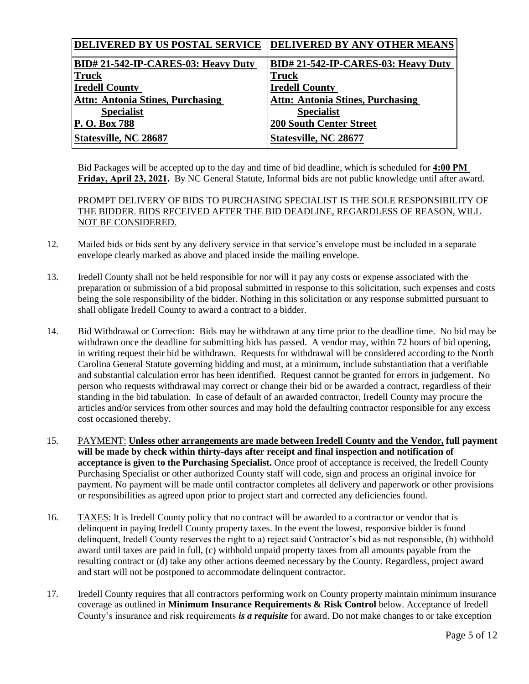| <b>DELIVERED BY US POSTAL SERVICE</b>     | <b>DELIVERED BY ANY OTHER MEANS</b>     |
|-------------------------------------------|-----------------------------------------|
| <b>BID#21-542-IP-CARES-03: Heavy Duty</b> | BID# 21-542-IP-CARES-03: Heavy Duty     |
| <b>Truck</b>                              | Truck                                   |
| <b>Iredell County</b>                     | <b>Iredell County</b>                   |
| <b>Attn: Antonia Stines, Purchasing</b>   | <b>Attn: Antonia Stines, Purchasing</b> |
| <b>Specialist</b>                         | <b>Specialist</b>                       |
| <b>P.O. Box 788</b>                       | <b>200 South Center Street</b>          |
| <b>Statesville, NC 28687</b>              | Statesville, NC 28677                   |

Bid Packages will be accepted up to the day and time of bid deadline, which is scheduled for **4:00 PM Friday, April 23, 2021.** By NC General Statute, Informal bids are not public knowledge until after award.

PROMPT DELIVERY OF BIDS TO PURCHASING SPECIALIST IS THE SOLE RESPONSIBILITY OF THE BIDDER. BIDS RECEIVED AFTER THE BID DEADLINE, REGARDLESS OF REASON, WILL NOT BE CONSIDERED.

- 12. Mailed bids or bids sent by any delivery service in that service's envelope must be included in a separate envelope clearly marked as above and placed inside the mailing envelope.
- 13. Iredell County shall not be held responsible for nor will it pay any costs or expense associated with the preparation or submission of a bid proposal submitted in response to this solicitation, such expenses and costs being the sole responsibility of the bidder. Nothing in this solicitation or any response submitted pursuant to shall obligate Iredell County to award a contract to a bidder.
- 14. Bid Withdrawal or Correction: Bids may be withdrawn at any time prior to the deadline time. No bid may be withdrawn once the deadline for submitting bids has passed. A vendor may, within 72 hours of bid opening, in writing request their bid be withdrawn. Requests for withdrawal will be considered according to the North Carolina General Statute governing bidding and must, at a minimum, include substantiation that a verifiable and substantial calculation error has been identified. Request cannot be granted for errors in judgement. No person who requests withdrawal may correct or change their bid or be awarded a contract, regardless of their standing in the bid tabulation. In case of default of an awarded contractor, Iredell County may procure the articles and/or services from other sources and may hold the defaulting contractor responsible for any excess cost occasioned thereby.
- 15. PAYMENT: **Unless other arrangements are made between Iredell County and the Vendor, full payment will be made by check within thirty-days after receipt and final inspection and notification of acceptance is given to the Purchasing Specialist.** Once proof of acceptance is received, the Iredell County Purchasing Specialist or other authorized County staff will code, sign and process an original invoice for payment. No payment will be made until contractor completes all delivery and paperwork or other provisions or responsibilities as agreed upon prior to project start and corrected any deficiencies found.
- 16. TAXES: It is Iredell County policy that no contract will be awarded to a contractor or vendor that is delinquent in paying Iredell County property taxes. In the event the lowest, responsive bidder is found delinquent, Iredell County reserves the right to a) reject said Contractor's bid as not responsible, (b) withhold award until taxes are paid in full, (c) withhold unpaid property taxes from all amounts payable from the resulting contract or (d) take any other actions deemed necessary by the County. Regardless, project award and start will not be postponed to accommodate delinquent contractor.
- 17. Iredell County requires that all contractors performing work on County property maintain minimum insurance coverage as outlined in **Minimum Insurance Requirements & Risk Control** below. Acceptance of Iredell County's insurance and risk requirements *is a requisite* for award. Do not make changes to or take exception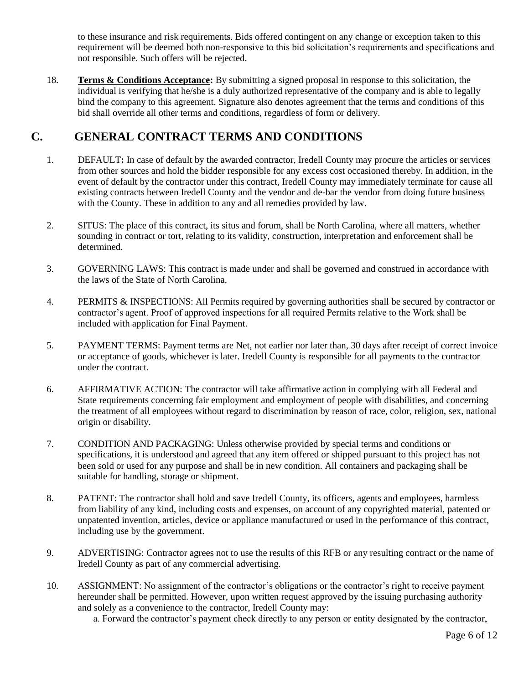to these insurance and risk requirements. Bids offered contingent on any change or exception taken to this requirement will be deemed both non-responsive to this bid solicitation's requirements and specifications and not responsible. Such offers will be rejected.

18. **Terms & Conditions Acceptance:** By submitting a signed proposal in response to this solicitation, the individual is verifying that he/she is a duly authorized representative of the company and is able to legally bind the company to this agreement. Signature also denotes agreement that the terms and conditions of this bid shall override all other terms and conditions, regardless of form or delivery.

### **C. GENERAL CONTRACT TERMS AND CONDITIONS**

- 1. DEFAULT**:** In case of default by the awarded contractor, Iredell County may procure the articles or services from other sources and hold the bidder responsible for any excess cost occasioned thereby. In addition, in the event of default by the contractor under this contract, Iredell County may immediately terminate for cause all existing contracts between Iredell County and the vendor and de-bar the vendor from doing future business with the County. These in addition to any and all remedies provided by law.
- 2. SITUS: The place of this contract, its situs and forum, shall be North Carolina, where all matters, whether sounding in contract or tort, relating to its validity, construction, interpretation and enforcement shall be determined.
- 3. GOVERNING LAWS: This contract is made under and shall be governed and construed in accordance with the laws of the State of North Carolina.
- 4. PERMITS & INSPECTIONS: All Permits required by governing authorities shall be secured by contractor or contractor's agent. Proof of approved inspections for all required Permits relative to the Work shall be included with application for Final Payment.
- 5. PAYMENT TERMS: Payment terms are Net, not earlier nor later than, 30 days after receipt of correct invoice or acceptance of goods, whichever is later. Iredell County is responsible for all payments to the contractor under the contract.
- 6. AFFIRMATIVE ACTION: The contractor will take affirmative action in complying with all Federal and State requirements concerning fair employment and employment of people with disabilities, and concerning the treatment of all employees without regard to discrimination by reason of race, color, religion, sex, national origin or disability.
- 7. CONDITION AND PACKAGING: Unless otherwise provided by special terms and conditions or specifications, it is understood and agreed that any item offered or shipped pursuant to this project has not been sold or used for any purpose and shall be in new condition. All containers and packaging shall be suitable for handling, storage or shipment.
- 8. PATENT: The contractor shall hold and save Iredell County, its officers, agents and employees, harmless from liability of any kind, including costs and expenses, on account of any copyrighted material, patented or unpatented invention, articles, device or appliance manufactured or used in the performance of this contract, including use by the government.
- 9. ADVERTISING: Contractor agrees not to use the results of this RFB or any resulting contract or the name of Iredell County as part of any commercial advertising.
- 10. ASSIGNMENT: No assignment of the contractor's obligations or the contractor's right to receive payment hereunder shall be permitted. However, upon written request approved by the issuing purchasing authority and solely as a convenience to the contractor, Iredell County may:
	- a. Forward the contractor's payment check directly to any person or entity designated by the contractor,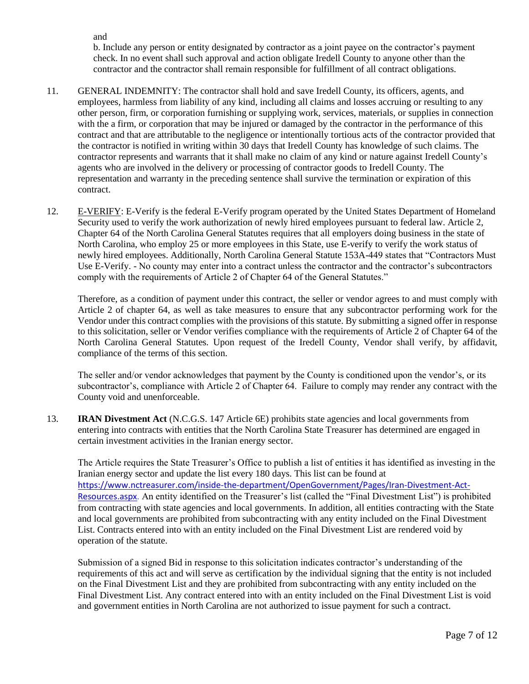and

b. Include any person or entity designated by contractor as a joint payee on the contractor's payment check. In no event shall such approval and action obligate Iredell County to anyone other than the contractor and the contractor shall remain responsible for fulfillment of all contract obligations.

- 11. GENERAL INDEMNITY: The contractor shall hold and save Iredell County, its officers, agents, and employees, harmless from liability of any kind, including all claims and losses accruing or resulting to any other person, firm, or corporation furnishing or supplying work, services, materials, or supplies in connection with the a firm, or corporation that may be injured or damaged by the contractor in the performance of this contract and that are attributable to the negligence or intentionally tortious acts of the contractor provided that the contractor is notified in writing within 30 days that Iredell County has knowledge of such claims. The contractor represents and warrants that it shall make no claim of any kind or nature against Iredell County's agents who are involved in the delivery or processing of contractor goods to Iredell County. The representation and warranty in the preceding sentence shall survive the termination or expiration of this contract.
- 12. E-VERIFY: E-Verify is the federal E-Verify program operated by the United States Department of Homeland Security used to verify the work authorization of newly hired employees pursuant to federal law. Article 2, Chapter 64 of the North Carolina General Statutes requires that all employers doing business in the state of North Carolina, who employ 25 or more employees in this State, use E-verify to verify the work status of newly hired employees. Additionally, North Carolina General Statute 153A-449 states that "Contractors Must Use E-Verify. - No county may enter into a contract unless the contractor and the contractor's subcontractors comply with the requirements of Article 2 of Chapter 64 of the General Statutes."

Therefore, as a condition of payment under this contract, the seller or vendor agrees to and must comply with Article 2 of chapter 64, as well as take measures to ensure that any subcontractor performing work for the Vendor under this contract complies with the provisions of this statute. By submitting a signed offer in response to this solicitation, seller or Vendor verifies compliance with the requirements of Article 2 of Chapter 64 of the North Carolina General Statutes. Upon request of the Iredell County, Vendor shall verify, by affidavit, compliance of the terms of this section.

The seller and/or vendor acknowledges that payment by the County is conditioned upon the vendor's, or its subcontractor's, compliance with Article 2 of Chapter 64. Failure to comply may render any contract with the County void and unenforceable.

13. **IRAN Divestment Act** (N.C.G.S. 147 Article 6E) prohibits state agencies and local governments from entering into contracts with entities that the North Carolina State Treasurer has determined are engaged in certain investment activities in the Iranian energy sector.

The Article requires the State Treasurer's Office to publish a list of entities it has identified as investing in the Iranian energy sector and update the list every 180 days. This list can be found at [https://www.nctreasurer.com/inside-the-department/OpenGovernment/Pages/Iran-Divestment-Act-](https://www.nctreasurer.com/inside-the-department/OpenGovernment/Pages/Iran-Divestment-Act-Resources.aspx)[Resources.aspx.](https://www.nctreasurer.com/inside-the-department/OpenGovernment/Pages/Iran-Divestment-Act-Resources.aspx) An entity identified on the Treasurer's list (called the "Final Divestment List") is prohibited from contracting with state agencies and local governments. In addition, all entities contracting with the State and local governments are prohibited from subcontracting with any entity included on the Final Divestment List. Contracts entered into with an entity included on the Final Divestment List are rendered void by operation of the statute.

Submission of a signed Bid in response to this solicitation indicates contractor's understanding of the requirements of this act and will serve as certification by the individual signing that the entity is not included on the Final Divestment List and they are prohibited from subcontracting with any entity included on the Final Divestment List. Any contract entered into with an entity included on the Final Divestment List is void and government entities in North Carolina are not authorized to issue payment for such a contract.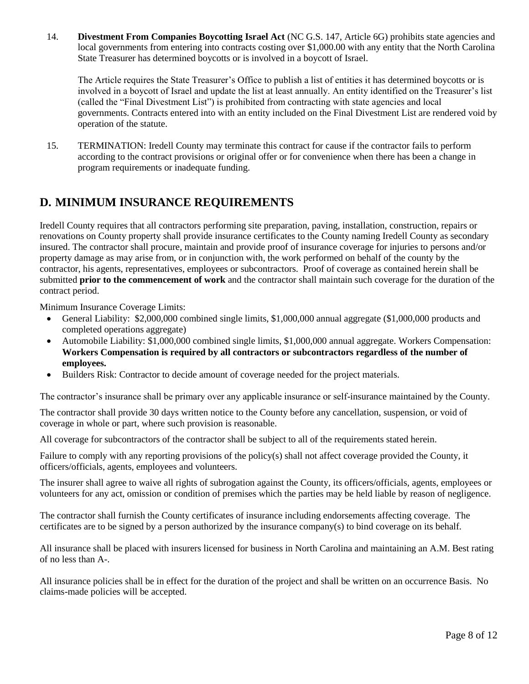14. **Divestment From Companies Boycotting Israel Act** (NC G.S. 147, Article 6G) prohibits state agencies and local governments from entering into contracts costing over \$1,000.00 with any entity that the North Carolina State Treasurer has determined boycotts or is involved in a boycott of Israel.

The Article requires the State Treasurer's Office to publish a list of entities it has determined boycotts or is involved in a boycott of Israel and update the list at least annually. An entity identified on the Treasurer's list (called the "Final Divestment List") is prohibited from contracting with state agencies and local governments. Contracts entered into with an entity included on the Final Divestment List are rendered void by operation of the statute.

15. TERMINATION: Iredell County may terminate this contract for cause if the contractor fails to perform according to the contract provisions or original offer or for convenience when there has been a change in program requirements or inadequate funding.

### **D. MINIMUM INSURANCE REQUIREMENTS**

Iredell County requires that all contractors performing site preparation, paving, installation, construction, repairs or renovations on County property shall provide insurance certificates to the County naming Iredell County as secondary insured. The contractor shall procure, maintain and provide proof of insurance coverage for injuries to persons and/or property damage as may arise from, or in conjunction with, the work performed on behalf of the county by the contractor, his agents, representatives, employees or subcontractors. Proof of coverage as contained herein shall be submitted **prior to the commencement of work** and the contractor shall maintain such coverage for the duration of the contract period.

Minimum Insurance Coverage Limits:

- General Liability: \$2,000,000 combined single limits, \$1,000,000 annual aggregate (\$1,000,000 products and completed operations aggregate)
- Automobile Liability: \$1,000,000 combined single limits, \$1,000,000 annual aggregate. Workers Compensation: **Workers Compensation is required by all contractors or subcontractors regardless of the number of employees.**
- Builders Risk: Contractor to decide amount of coverage needed for the project materials.

The contractor's insurance shall be primary over any applicable insurance or self-insurance maintained by the County.

The contractor shall provide 30 days written notice to the County before any cancellation, suspension, or void of coverage in whole or part, where such provision is reasonable.

All coverage for subcontractors of the contractor shall be subject to all of the requirements stated herein.

Failure to comply with any reporting provisions of the policy(s) shall not affect coverage provided the County, it officers/officials, agents, employees and volunteers.

The insurer shall agree to waive all rights of subrogation against the County, its officers/officials, agents, employees or volunteers for any act, omission or condition of premises which the parties may be held liable by reason of negligence.

The contractor shall furnish the County certificates of insurance including endorsements affecting coverage. The certificates are to be signed by a person authorized by the insurance company(s) to bind coverage on its behalf.

All insurance shall be placed with insurers licensed for business in North Carolina and maintaining an A.M. Best rating of no less than A-.

All insurance policies shall be in effect for the duration of the project and shall be written on an occurrence Basis. No claims-made policies will be accepted.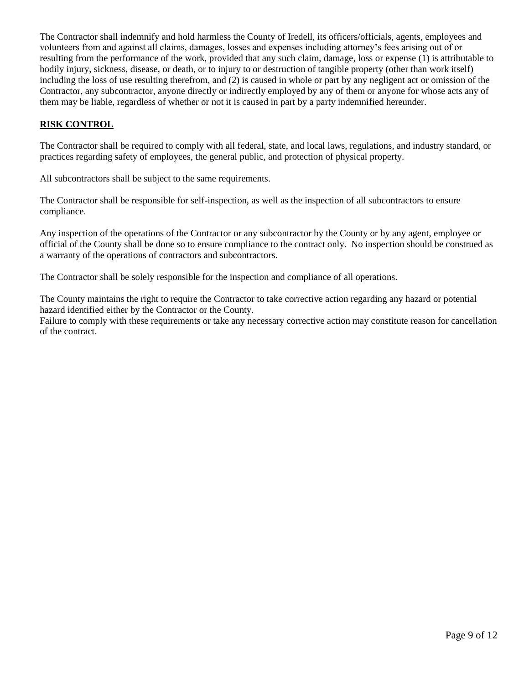The Contractor shall indemnify and hold harmless the County of Iredell, its officers/officials, agents, employees and volunteers from and against all claims, damages, losses and expenses including attorney's fees arising out of or resulting from the performance of the work, provided that any such claim, damage, loss or expense (1) is attributable to bodily injury, sickness, disease, or death, or to injury to or destruction of tangible property (other than work itself) including the loss of use resulting therefrom, and (2) is caused in whole or part by any negligent act or omission of the Contractor, any subcontractor, anyone directly or indirectly employed by any of them or anyone for whose acts any of them may be liable, regardless of whether or not it is caused in part by a party indemnified hereunder.

#### **RISK CONTROL**

The Contractor shall be required to comply with all federal, state, and local laws, regulations, and industry standard, or practices regarding safety of employees, the general public, and protection of physical property.

All subcontractors shall be subject to the same requirements.

The Contractor shall be responsible for self-inspection, as well as the inspection of all subcontractors to ensure compliance.

Any inspection of the operations of the Contractor or any subcontractor by the County or by any agent, employee or official of the County shall be done so to ensure compliance to the contract only. No inspection should be construed as a warranty of the operations of contractors and subcontractors.

The Contractor shall be solely responsible for the inspection and compliance of all operations.

The County maintains the right to require the Contractor to take corrective action regarding any hazard or potential hazard identified either by the Contractor or the County.

Failure to comply with these requirements or take any necessary corrective action may constitute reason for cancellation of the contract.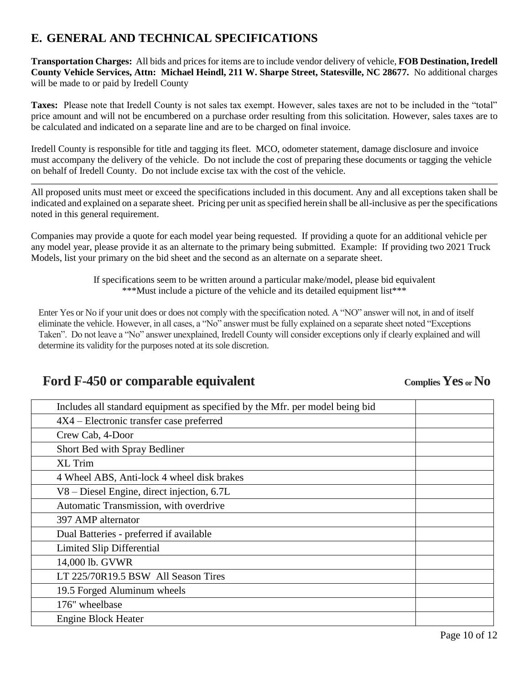## **E. GENERAL AND TECHNICAL SPECIFICATIONS**

**Transportation Charges:** All bids and prices for items are to include vendor delivery of vehicle, **FOB Destination, Iredell County Vehicle Services, Attn: Michael Heindl, 211 W. Sharpe Street, Statesville, NC 28677.** No additional charges will be made to or paid by Iredell County

**Taxes:** Please note that Iredell County is not sales tax exempt. However, sales taxes are not to be included in the "total" price amount and will not be encumbered on a purchase order resulting from this solicitation. However, sales taxes are to be calculated and indicated on a separate line and are to be charged on final invoice.

Iredell County is responsible for title and tagging its fleet. MCO, odometer statement, damage disclosure and invoice must accompany the delivery of the vehicle. Do not include the cost of preparing these documents or tagging the vehicle on behalf of Iredell County. Do not include excise tax with the cost of the vehicle.

All proposed units must meet or exceed the specifications included in this document. Any and all exceptions taken shall be indicated and explained on a separate sheet. Pricing per unit as specified herein shall be all-inclusive as per the specifications noted in this general requirement.

Companies may provide a quote for each model year being requested. If providing a quote for an additional vehicle per any model year, please provide it as an alternate to the primary being submitted. Example: If providing two 2021 Truck Models, list your primary on the bid sheet and the second as an alternate on a separate sheet.

> If specifications seem to be written around a particular make/model, please bid equivalent \*\*\*Must include a picture of the vehicle and its detailed equipment list\*\*\*

Enter Yes or No if your unit does or does not comply with the specification noted. A "NO" answer will not, in and of itself eliminate the vehicle. However, in all cases, a "No" answer must be fully explained on a separate sheet noted "Exceptions Taken". Do not leave a "No" answer unexplained, Iredell County will consider exceptions only if clearly explained and will determine its validity for the purposes noted at its sole discretion.

# Ford F-450 or comparable equivalent *Complies Yes*  $\alpha$  No

| Includes all standard equipment as specified by the Mfr. per model being bid |  |  |
|------------------------------------------------------------------------------|--|--|
| $4X4$ – Electronic transfer case preferred                                   |  |  |
| Crew Cab, 4-Door                                                             |  |  |
| Short Bed with Spray Bedliner                                                |  |  |
| <b>XL Trim</b>                                                               |  |  |
| 4 Wheel ABS, Anti-lock 4 wheel disk brakes                                   |  |  |
| V8 – Diesel Engine, direct injection, 6.7L                                   |  |  |
| Automatic Transmission, with overdrive                                       |  |  |
| 397 AMP alternator                                                           |  |  |
| Dual Batteries - preferred if available                                      |  |  |
| Limited Slip Differential                                                    |  |  |
| 14,000 lb. GVWR                                                              |  |  |
| LT 225/70R19.5 BSW All Season Tires                                          |  |  |
| 19.5 Forged Aluminum wheels                                                  |  |  |
| 176" wheelbase                                                               |  |  |
| <b>Engine Block Heater</b>                                                   |  |  |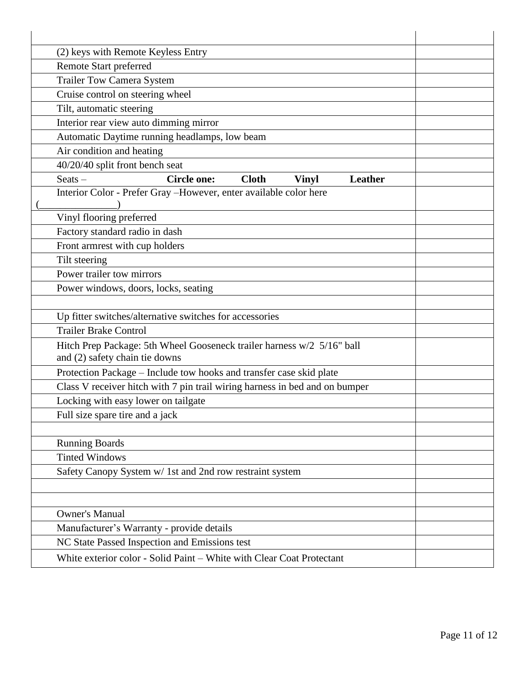| (2) keys with Remote Keyless Entry                                                                       |  |  |
|----------------------------------------------------------------------------------------------------------|--|--|
| <b>Remote Start preferred</b>                                                                            |  |  |
| <b>Trailer Tow Camera System</b>                                                                         |  |  |
| Cruise control on steering wheel                                                                         |  |  |
| Tilt, automatic steering                                                                                 |  |  |
| Interior rear view auto dimming mirror                                                                   |  |  |
| Automatic Daytime running headlamps, low beam                                                            |  |  |
| Air condition and heating                                                                                |  |  |
| 40/20/40 split front bench seat                                                                          |  |  |
| $S$ eats $-$<br><b>Circle one:</b><br><b>Cloth</b><br>Leather<br><b>Vinyl</b>                            |  |  |
| Interior Color - Prefer Gray - However, enter available color here                                       |  |  |
|                                                                                                          |  |  |
| Vinyl flooring preferred                                                                                 |  |  |
| Factory standard radio in dash                                                                           |  |  |
| Front armrest with cup holders                                                                           |  |  |
| Tilt steering                                                                                            |  |  |
| Power trailer tow mirrors                                                                                |  |  |
| Power windows, doors, locks, seating                                                                     |  |  |
|                                                                                                          |  |  |
| Up fitter switches/alternative switches for accessories                                                  |  |  |
| <b>Trailer Brake Control</b>                                                                             |  |  |
| Hitch Prep Package: 5th Wheel Gooseneck trailer harness w/2 5/16" ball<br>and (2) safety chain tie downs |  |  |
| Protection Package - Include tow hooks and transfer case skid plate                                      |  |  |
| Class V receiver hitch with 7 pin trail wiring harness in bed and on bumper                              |  |  |
| Locking with easy lower on tailgate                                                                      |  |  |
| Full size spare tire and a jack                                                                          |  |  |
|                                                                                                          |  |  |
| <b>Running Boards</b>                                                                                    |  |  |
| <b>Tinted Windows</b>                                                                                    |  |  |
| Safety Canopy System w/ 1st and 2nd row restraint system                                                 |  |  |
|                                                                                                          |  |  |
|                                                                                                          |  |  |
| <b>Owner's Manual</b>                                                                                    |  |  |
| Manufacturer's Warranty - provide details                                                                |  |  |
| NC State Passed Inspection and Emissions test                                                            |  |  |
| White exterior color - Solid Paint - White with Clear Coat Protectant                                    |  |  |